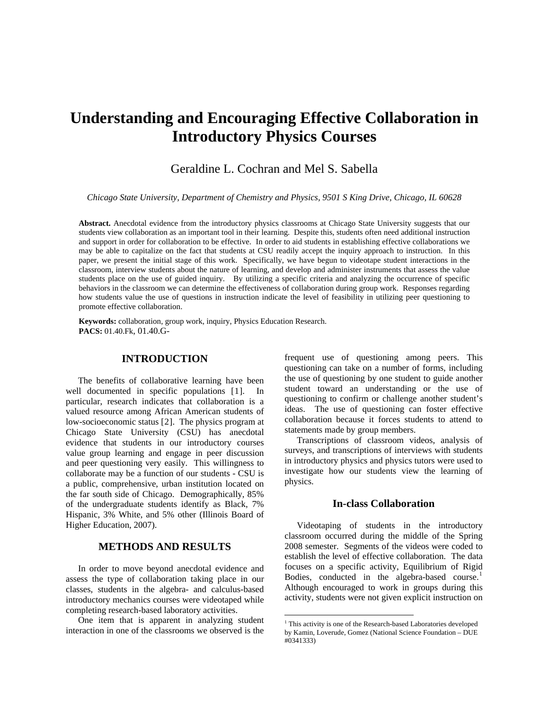# **Understanding and Encouraging Effective Collaboration in Introductory Physics Courses**

Geraldine L. Cochran and Mel S. Sabella

*Chicago State University, Department of Chemistry and Physics, 9501 S King Drive, Chicago, IL 60628* 

**Abstract.** Anecdotal evidence from the introductory physics classrooms at Chicago State University suggests that our students view collaboration as an important tool in their learning. Despite this, students often need additional instruction and support in order for collaboration to be effective. In order to aid students in establishing effective collaborations we may be able to capitalize on the fact that students at CSU readily accept the inquiry approach to instruction. In this paper, we present the initial stage of this work. Specifically, we have begun to videotape student interactions in the classroom, interview students about the nature of learning, and develop and administer instruments that assess the value students place on the use of guided inquiry. By utilizing a specific criteria and analyzing the occurrence of specific behaviors in the classroom we can determine the effectiveness of collaboration during group work. Responses regarding how students value the use of questions in instruction indicate the level of feasibility in utilizing peer questioning to promote effective collaboration.

1

**Keywords:** collaboration, group work, inquiry, Physics Education Research. **PACS:** 01.40.Fk, 01.40.G-

#### **INTRODUCTION**

The benefits of collaborative learning have been well documented in specific populations [[1](#page-3-0)]. In particular, research indicates that collaboration is a valued resource among African American students of low-socioeconomic status [[2](#page-3-1)]. The physics program at Chicago State University (CSU) has anecdotal evidence that students in our introductory courses value group learning and engage in peer discussion and peer questioning very easily. This willingness to collaborate may be a function of our students - CSU is a public, comprehensive, urban institution located on the far south side of Chicago. Demographically, 85% of the undergraduate students identify as Black, 7% Hispanic, 3% White, and 5% other (Illinois Board of Higher Education, 2007).

# **METHODS AND RESULTS**

In order to move beyond anecdotal evidence and assess the type of collaboration taking place in our classes, students in the algebra- and calculus-based introductory mechanics courses were videotaped while completing research-based laboratory activities.

<span id="page-0-0"></span>One item that is apparent in analyzing student interaction in one of the classrooms we observed is the

frequent use of questioning among peers. This questioning can take on a number of forms, including the use of questioning by one student to guide another student toward an understanding or the use of questioning to confirm or challenge another student's ideas. The use of questioning can foster effective collaboration because it forces students to attend to statements made by group members.

Transcriptions of classroom videos, analysis of surveys, and transcriptions of interviews with students in introductory physics and physics tutors were used to investigate how our students view the learning of physics.

## **In-class Collaboration**

Videotaping of students in the introductory classroom occurred during the middle of the Spring 2008 semester. Segments of the videos were coded to establish the level of effective collaboration. The data focuses on a specific activity, Equilibrium of Rigid Bodies, conducted in the algebra-based course.<sup>[1](#page-0-0)</sup> Although encouraged to work in groups during this activity, students were not given explicit instruction on

<sup>&</sup>lt;sup>1</sup> This activity is one of the Research-based Laboratories developed by Kamin, Loverude, Gomez (National Science Foundation – DUE #0341333)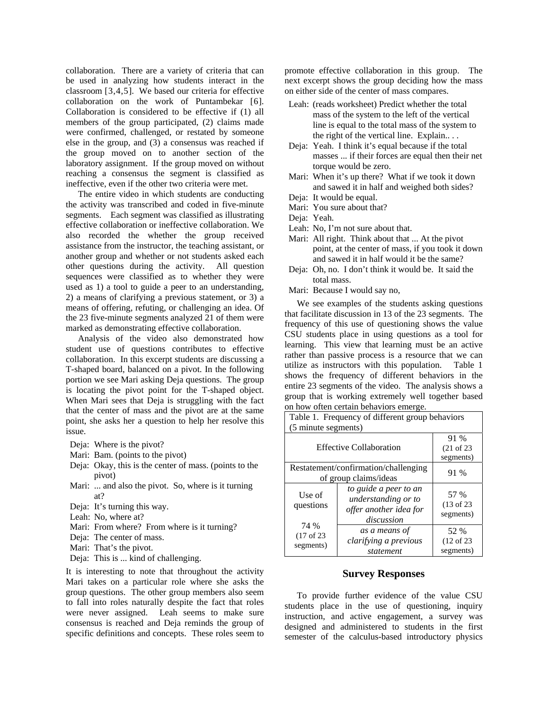collaboration. There are a variety of criteria that can be used in analyzing how students interact in the classroom [[3](#page-3-1),[4](#page-3-1),[5](#page-3-1)]. We based our criteria for effective collaboration on the work of Puntambekar [[6](#page-3-1)]. Collaboration is considered to be effective if (1) all members of the group participated, (2) claims made were confirmed, challenged, or restated by someone else in the group, and (3) a consensus was reached if the group moved on to another section of the laboratory assignment. If the group moved on without reaching a consensus the segment is classified as ineffective, even if the other two criteria were met.

The entire video in which students are conducting the activity was transcribed and coded in five-minute segments. Each segment was classified as illustrating effective collaboration or ineffective collaboration. We also recorded the whether the group received assistance from the instructor, the teaching assistant, or another group and whether or not students asked each other questions during the activity. All question sequences were classified as to whether they were used as 1) a tool to guide a peer to an understanding, 2) a means of clarifying a previous statement, or 3) a means of offering, refuting, or challenging an idea. Of the 23 five-minute segments analyzed 21 of them were marked as demonstrating effective collaboration.

Analysis of the video also demonstrated how student use of questions contributes to effective collaboration. In this excerpt students are discussing a T-shaped board, balanced on a pivot. In the following portion we see Mari asking Deja questions. The group is locating the pivot point for the T-shaped object. When Mari sees that Deja is struggling with the fact that the center of mass and the pivot are at the same point, she asks her a question to help her resolve this issue.

- Deja: Where is the pivot?
- Mari: Bam. (points to the pivot)
- Deja: Okay, this is the center of mass. (points to the pivot)
- Mari: ... and also the pivot. So, where is it turning at?
- Deja: It's turning this way.
- Leah: No, where at?
- Mari: From where? From where is it turning?
- Deja: The center of mass.
- Mari: That's the pivot.
- Deja: This is ... kind of challenging.

It is interesting to note that throughout the activity Mari takes on a particular role where she asks the group questions. The other group members also seem to fall into roles naturally despite the fact that roles were never assigned. Leah seems to make sure consensus is reached and Deja reminds the group of specific definitions and concepts. These roles seem to promote effective collaboration in this group. The next excerpt shows the group deciding how the mass on either side of the center of mass compares.

- Leah: (reads worksheet) Predict whether the total mass of the system to the left of the vertical line is equal to the total mass of the system to the right of the vertical line. Explain.. . .
- Deja: Yeah. I think it's equal because if the total masses ... if their forces are equal then their net torque would be zero.
- Mari: When it's up there? What if we took it down and sawed it in half and weighed both sides?
- Deja: It would be equal.
- Mari: You sure about that?
- Deja: Yeah.
- Leah: No, I'm not sure about that.
- Mari: All right. Think about that ... At the pivot point, at the center of mass, if you took it down and sawed it in half would it be the same?
- Deja: Oh, no. I don't think it would be. It said the total mass.
- Mari: Because I would say no,

We see examples of the students asking questions that facilitate discussion in 13 of the 23 segments. The frequency of this use of questioning shows the value CSU students place in using questions as a tool for learning. This view that learning must be an active rather than passive process is a resource that we can utilize as instructors with this population. Table 1 shows the frequency of different behaviors in the entire 23 segments of the video. The analysis shows a group that is working extremely well together based on how often certain behaviors emerge.

Table 1. Frequency of different group behaviors (5 minute segments)

| <b>Effective Collaboration</b>                                |                                                                                      | 91 %<br>$(21 \text{ of } 23)$<br>segments) |
|---------------------------------------------------------------|--------------------------------------------------------------------------------------|--------------------------------------------|
| Restatement/confirmation/challenging<br>of group claims/ideas |                                                                                      | 91 %                                       |
| Use of<br>questions<br>74 %<br>$(17$ of 23<br>segments)       | to guide a peer to an<br>understanding or to<br>offer another idea for<br>discussion | 57 %<br>$(13$ of 23<br>segments)           |
|                                                               | as a means of<br>clarifying a previous<br>statement                                  | 52 %<br>$(12$ of 23<br>segments)           |

## **Survey Responses**

To provide further evidence of the value CSU students place in the use of questioning, inquiry instruction, and active engagement, a survey was designed and administered to students in the first semester of the calculus-based introductory physics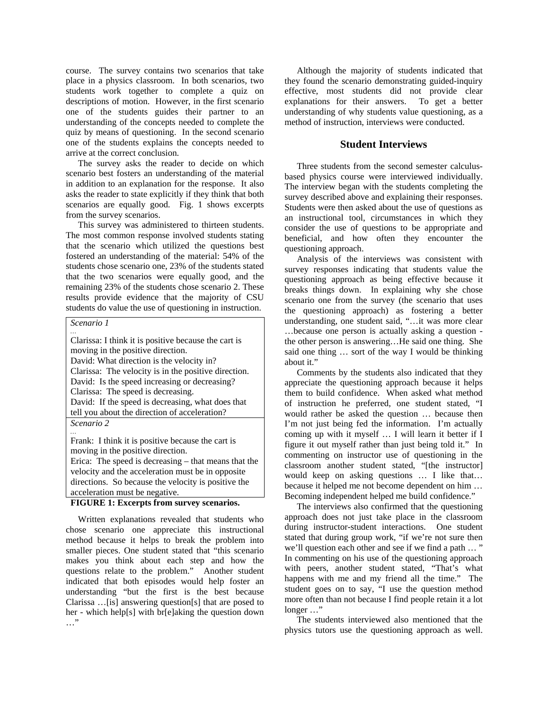course. The survey contains two scenarios that take place in a physics classroom. In both scenarios, two students work together to complete a quiz on descriptions of motion. However, in the first scenario one of the students guides their partner to an understanding of the concepts needed to complete the quiz by means of questioning. In the second scenario one of the students explains the concepts needed to arrive at the correct conclusion.

The survey asks the reader to decide on which scenario best fosters an understanding of the material in addition to an explanation for the response. It also asks the reader to state explicitly if they think that both scenarios are equally good. Fig. 1 shows excerpts from the survey scenarios.

This survey was administered to thirteen students. The most common response involved students stating that the scenario which utilized the questions best fostered an understanding of the material: 54% of the students chose scenario one, 23% of the students stated that the two scenarios were equally good, and the remaining 23% of the students chose scenario 2. These results provide evidence that the majority of CSU students do value the use of questioning in instruction.

#### *Scenario 1*

*…*  Clarissa: I think it is positive because the cart is moving in the positive direction. David: What direction is the velocity in? Clarissa: The velocity is in the positive direction. David: Is the speed increasing or decreasing? Clarissa: The speed is decreasing. David: If the speed is decreasing, what does that tell you about the direction of acceleration? *Scenario 2 …* 

Frank: I think it is positive because the cart is moving in the positive direction.

Erica: The speed is decreasing – that means that the velocity and the acceleration must be in opposite directions. So because the velocity is positive the acceleration must be negative.

## **FIGURE 1: Excerpts from survey scenarios.**

Written explanations revealed that students who chose scenario one appreciate this instructional method because it helps to break the problem into smaller pieces. One student stated that "this scenario makes you think about each step and how the questions relate to the problem." Another student indicated that both episodes would help foster an understanding "but the first is the best because Clarissa …[is] answering question[s] that are posed to her - which help[s] with br[e]aking the question down …"

Although the majority of students indicated that they found the scenario demonstrating guided-inquiry effective, most students did not provide clear explanations for their answers. To get a better understanding of why students value questioning, as a method of instruction, interviews were conducted.

## **Student Interviews**

Three students from the second semester calculusbased physics course were interviewed individually. The interview began with the students completing the survey described above and explaining their responses. Students were then asked about the use of questions as an instructional tool, circumstances in which they consider the use of questions to be appropriate and beneficial, and how often they encounter the questioning approach.

Analysis of the interviews was consistent with survey responses indicating that students value the questioning approach as being effective because it breaks things down. In explaining why she chose scenario one from the survey (the scenario that uses the questioning approach) as fostering a better understanding, one student said, "…it was more clear …because one person is actually asking a question the other person is answering…He said one thing. She said one thing … sort of the way I would be thinking about it."

Comments by the students also indicated that they appreciate the questioning approach because it helps them to build confidence. When asked what method of instruction he preferred, one student stated, "I would rather be asked the question … because then I'm not just being fed the information. I'm actually coming up with it myself … I will learn it better if I figure it out myself rather than just being told it." In commenting on instructor use of questioning in the classroom another student stated, "[the instructor] would keep on asking questions ... I like that... because it helped me not become dependent on him … Becoming independent helped me build confidence."

The interviews also confirmed that the questioning approach does not just take place in the classroom during instructor-student interactions. One student stated that during group work, "if we're not sure then we'll question each other and see if we find a path … " In commenting on his use of the questioning approach with peers, another student stated, "That's what happens with me and my friend all the time." The student goes on to say, "I use the question method more often than not because I find people retain it a lot longer …"

The students interviewed also mentioned that the physics tutors use the questioning approach as well.